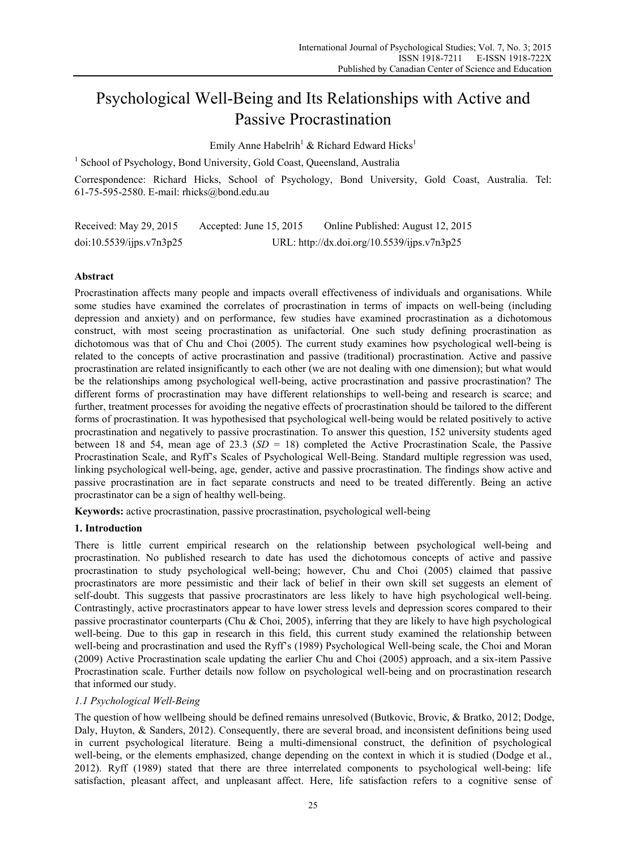# Psychological Well-Being and Its Relationships with Active and Passive Procrastination

Emily Anne Habelrih<sup>1</sup> & Richard Edward Hicks<sup>1</sup>

<sup>1</sup> School of Psychology, Bond University, Gold Coast, Queensland, Australia

Correspondence: Richard Hicks, School of Psychology, Bond University, Gold Coast, Australia. Tel: 61-75-595-2580. E-mail: rhicks@bond.edu.au

Received: May 29, 2015 Accepted: June 15, 2015 Online Published: August 12, 2015 doi:10.5539/ijps.v7n3p25 URL: http://dx.doi.org/10.5539/ijps.v7n3p25

## **Abstract**

Procrastination affects many people and impacts overall effectiveness of individuals and organisations. While some studies have examined the correlates of procrastination in terms of impacts on well-being (including depression and anxiety) and on performance, few studies have examined procrastination as a dichotomous construct, with most seeing procrastination as unifactorial. One such study defining procrastination as dichotomous was that of Chu and Choi (2005). The current study examines how psychological well-being is related to the concepts of active procrastination and passive (traditional) procrastination. Active and passive procrastination are related insignificantly to each other (we are not dealing with one dimension); but what would be the relationships among psychological well-being, active procrastination and passive procrastination? The different forms of procrastination may have different relationships to well-being and research is scarce; and further, treatment processes for avoiding the negative effects of procrastination should be tailored to the different forms of procrastination. It was hypothesised that psychological well-being would be related positively to active procrastination and negatively to passive procrastination. To answer this question, 152 university students aged between 18 and 54, mean age of 23.3 (*SD* = 18) completed the Active Procrastination Scale, the Passive Procrastination Scale, and Ryff's Scales of Psychological Well-Being. Standard multiple regression was used, linking psychological well-being, age, gender, active and passive procrastination. The findings show active and passive procrastination are in fact separate constructs and need to be treated differently. Being an active procrastinator can be a sign of healthy well-being.

**Keywords:** active procrastination, passive procrastination, psychological well-being

#### **1. Introduction**

There is little current empirical research on the relationship between psychological well-being and procrastination. No published research to date has used the dichotomous concepts of active and passive procrastination to study psychological well-being; however, Chu and Choi (2005) claimed that passive procrastinators are more pessimistic and their lack of belief in their own skill set suggests an element of self-doubt. This suggests that passive procrastinators are less likely to have high psychological well-being. Contrastingly, active procrastinators appear to have lower stress levels and depression scores compared to their passive procrastinator counterparts (Chu & Choi, 2005), inferring that they are likely to have high psychological well-being. Due to this gap in research in this field, this current study examined the relationship between well-being and procrastination and used the Ryff's (1989) Psychological Well-being scale, the Choi and Moran (2009) Active Procrastination scale updating the earlier Chu and Choi (2005) approach, and a six-item Passive Procrastination scale. Further details now follow on psychological well-being and on procrastination research that informed our study.

#### *1.1 Psychological Well-Being*

The question of how wellbeing should be defined remains unresolved (Butkovic, Brovic, & Bratko, 2012; Dodge, Daly, Huyton, & Sanders, 2012). Consequently, there are several broad, and inconsistent definitions being used in current psychological literature. Being a multi-dimensional construct, the definition of psychological well-being, or the elements emphasized, change depending on the context in which it is studied (Dodge et al., 2012). Ryff (1989) stated that there are three interrelated components to psychological well-being: life satisfaction, pleasant affect, and unpleasant affect. Here, life satisfaction refers to a cognitive sense of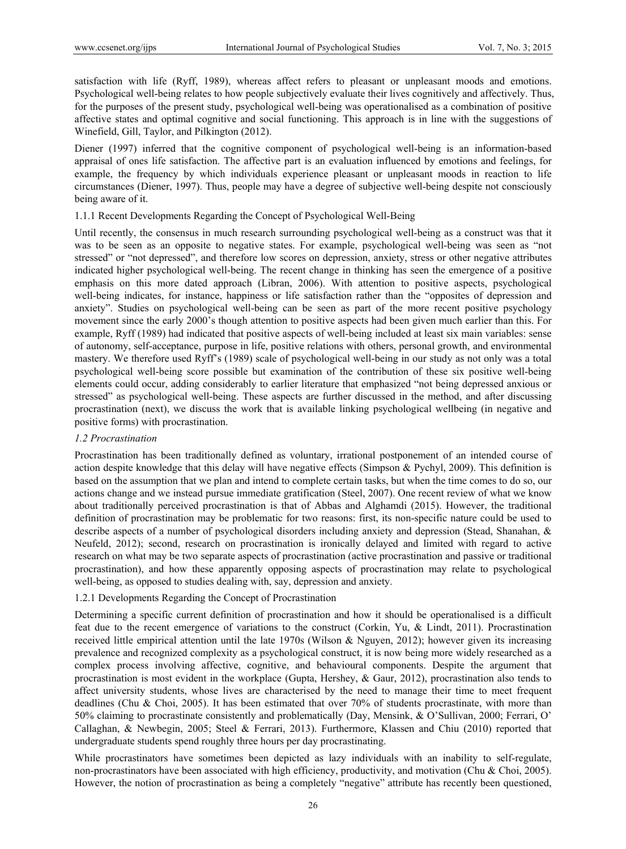satisfaction with life (Ryff, 1989), whereas affect refers to pleasant or unpleasant moods and emotions. Psychological well-being relates to how people subjectively evaluate their lives cognitively and affectively. Thus, for the purposes of the present study, psychological well-being was operationalised as a combination of positive affective states and optimal cognitive and social functioning. This approach is in line with the suggestions of Winefield, Gill, Taylor, and Pilkington (2012).

Diener (1997) inferred that the cognitive component of psychological well-being is an information-based appraisal of ones life satisfaction. The affective part is an evaluation influenced by emotions and feelings, for example, the frequency by which individuals experience pleasant or unpleasant moods in reaction to life circumstances (Diener, 1997). Thus, people may have a degree of subjective well-being despite not consciously being aware of it.

#### 1.1.1 Recent Developments Regarding the Concept of Psychological Well-Being

Until recently, the consensus in much research surrounding psychological well-being as a construct was that it was to be seen as an opposite to negative states. For example, psychological well-being was seen as "not stressed" or "not depressed", and therefore low scores on depression, anxiety, stress or other negative attributes indicated higher psychological well-being. The recent change in thinking has seen the emergence of a positive emphasis on this more dated approach (Libran, 2006). With attention to positive aspects, psychological well-being indicates, for instance, happiness or life satisfaction rather than the "opposites of depression and anxiety". Studies on psychological well-being can be seen as part of the more recent positive psychology movement since the early 2000's though attention to positive aspects had been given much earlier than this. For example, Ryff (1989) had indicated that positive aspects of well-being included at least six main variables: sense of autonomy, self-acceptance, purpose in life, positive relations with others, personal growth, and environmental mastery. We therefore used Ryff's (1989) scale of psychological well-being in our study as not only was a total psychological well-being score possible but examination of the contribution of these six positive well-being elements could occur, adding considerably to earlier literature that emphasized "not being depressed anxious or stressed" as psychological well-being. These aspects are further discussed in the method, and after discussing procrastination (next), we discuss the work that is available linking psychological wellbeing (in negative and positive forms) with procrastination.

#### *1.2 Procrastination*

Procrastination has been traditionally defined as voluntary, irrational postponement of an intended course of action despite knowledge that this delay will have negative effects (Simpson & Pychyl, 2009). This definition is based on the assumption that we plan and intend to complete certain tasks, but when the time comes to do so, our actions change and we instead pursue immediate gratification (Steel, 2007). One recent review of what we know about traditionally perceived procrastination is that of Abbas and Alghamdi (2015). However, the traditional definition of procrastination may be problematic for two reasons: first, its non-specific nature could be used to describe aspects of a number of psychological disorders including anxiety and depression (Stead, Shanahan, & Neufeld, 2012); second, research on procrastination is ironically delayed and limited with regard to active research on what may be two separate aspects of procrastination (active procrastination and passive or traditional procrastination), and how these apparently opposing aspects of procrastination may relate to psychological well-being, as opposed to studies dealing with, say, depression and anxiety.

#### 1.2.1 Developments Regarding the Concept of Procrastination

Determining a specific current definition of procrastination and how it should be operationalised is a difficult feat due to the recent emergence of variations to the construct (Corkin, Yu, & Lindt, 2011). Procrastination received little empirical attention until the late 1970s (Wilson & Nguyen, 2012); however given its increasing prevalence and recognized complexity as a psychological construct, it is now being more widely researched as a complex process involving affective, cognitive, and behavioural components. Despite the argument that procrastination is most evident in the workplace (Gupta, Hershey, & Gaur, 2012), procrastination also tends to affect university students, whose lives are characterised by the need to manage their time to meet frequent deadlines (Chu & Choi, 2005). It has been estimated that over 70% of students procrastinate, with more than 50% claiming to procrastinate consistently and problematically (Day, Mensink, & O'Sullivan, 2000; Ferrari, O' Callaghan, & Newbegin, 2005; Steel & Ferrari, 2013). Furthermore, Klassen and Chiu (2010) reported that undergraduate students spend roughly three hours per day procrastinating.

While procrastinators have sometimes been depicted as lazy individuals with an inability to self-regulate, non-procrastinators have been associated with high efficiency, productivity, and motivation (Chu & Choi, 2005). However, the notion of procrastination as being a completely "negative" attribute has recently been questioned,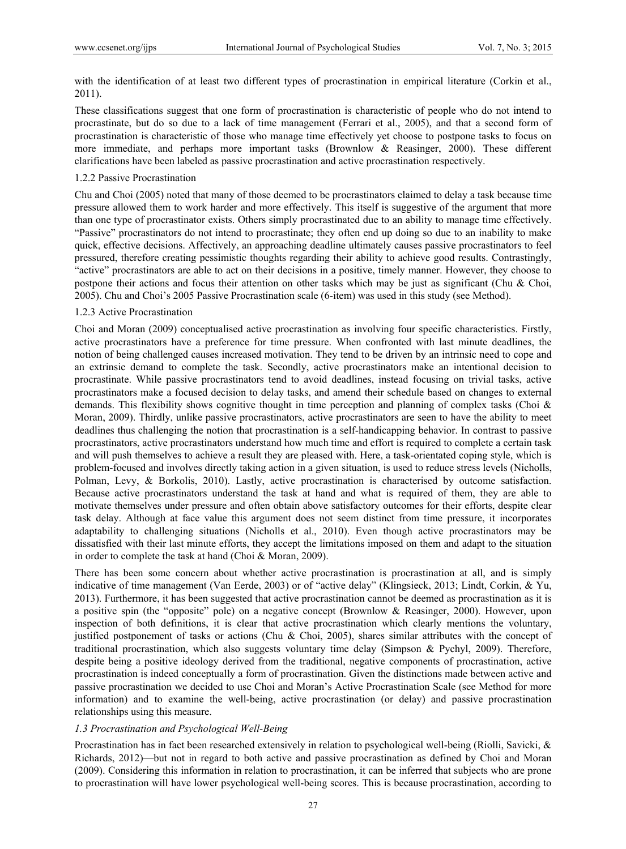with the identification of at least two different types of procrastination in empirical literature (Corkin et al., 2011).

These classifications suggest that one form of procrastination is characteristic of people who do not intend to procrastinate, but do so due to a lack of time management (Ferrari et al., 2005), and that a second form of procrastination is characteristic of those who manage time effectively yet choose to postpone tasks to focus on more immediate, and perhaps more important tasks (Brownlow & Reasinger, 2000). These different clarifications have been labeled as passive procrastination and active procrastination respectively.

#### 1.2.2 Passive Procrastination

Chu and Choi (2005) noted that many of those deemed to be procrastinators claimed to delay a task because time pressure allowed them to work harder and more effectively. This itself is suggestive of the argument that more than one type of procrastinator exists. Others simply procrastinated due to an ability to manage time effectively. "Passive" procrastinators do not intend to procrastinate; they often end up doing so due to an inability to make quick, effective decisions. Affectively, an approaching deadline ultimately causes passive procrastinators to feel pressured, therefore creating pessimistic thoughts regarding their ability to achieve good results. Contrastingly, "active" procrastinators are able to act on their decisions in a positive, timely manner. However, they choose to postpone their actions and focus their attention on other tasks which may be just as significant (Chu & Choi, 2005). Chu and Choi's 2005 Passive Procrastination scale (6-item) was used in this study (see Method).

#### 1.2.3 Active Procrastination

Choi and Moran (2009) conceptualised active procrastination as involving four specific characteristics. Firstly, active procrastinators have a preference for time pressure. When confronted with last minute deadlines, the notion of being challenged causes increased motivation. They tend to be driven by an intrinsic need to cope and an extrinsic demand to complete the task. Secondly, active procrastinators make an intentional decision to procrastinate. While passive procrastinators tend to avoid deadlines, instead focusing on trivial tasks, active procrastinators make a focused decision to delay tasks, and amend their schedule based on changes to external demands. This flexibility shows cognitive thought in time perception and planning of complex tasks (Choi & Moran, 2009). Thirdly, unlike passive procrastinators, active procrastinators are seen to have the ability to meet deadlines thus challenging the notion that procrastination is a self-handicapping behavior. In contrast to passive procrastinators, active procrastinators understand how much time and effort is required to complete a certain task and will push themselves to achieve a result they are pleased with. Here, a task-orientated coping style, which is problem-focused and involves directly taking action in a given situation, is used to reduce stress levels (Nicholls, Polman, Levy, & Borkolis, 2010). Lastly, active procrastination is characterised by outcome satisfaction. Because active procrastinators understand the task at hand and what is required of them, they are able to motivate themselves under pressure and often obtain above satisfactory outcomes for their efforts, despite clear task delay. Although at face value this argument does not seem distinct from time pressure, it incorporates adaptability to challenging situations (Nicholls et al., 2010). Even though active procrastinators may be dissatisfied with their last minute efforts, they accept the limitations imposed on them and adapt to the situation in order to complete the task at hand (Choi & Moran, 2009).

There has been some concern about whether active procrastination is procrastination at all, and is simply indicative of time management (Van Eerde, 2003) or of "active delay" (Klingsieck, 2013; Lindt, Corkin, & Yu, 2013). Furthermore, it has been suggested that active procrastination cannot be deemed as procrastination as it is a positive spin (the "opposite" pole) on a negative concept (Brownlow & Reasinger, 2000). However, upon inspection of both definitions, it is clear that active procrastination which clearly mentions the voluntary, justified postponement of tasks or actions (Chu & Choi, 2005), shares similar attributes with the concept of traditional procrastination, which also suggests voluntary time delay (Simpson & Pychyl, 2009). Therefore, despite being a positive ideology derived from the traditional, negative components of procrastination, active procrastination is indeed conceptually a form of procrastination. Given the distinctions made between active and passive procrastination we decided to use Choi and Moran's Active Procrastination Scale (see Method for more information) and to examine the well-being, active procrastination (or delay) and passive procrastination relationships using this measure.

## *1.3 Procrastination and Psychological Well-Being*

Procrastination has in fact been researched extensively in relation to psychological well-being (Riolli, Savicki, & Richards, 2012)—but not in regard to both active and passive procrastination as defined by Choi and Moran (2009). Considering this information in relation to procrastination, it can be inferred that subjects who are prone to procrastination will have lower psychological well-being scores. This is because procrastination, according to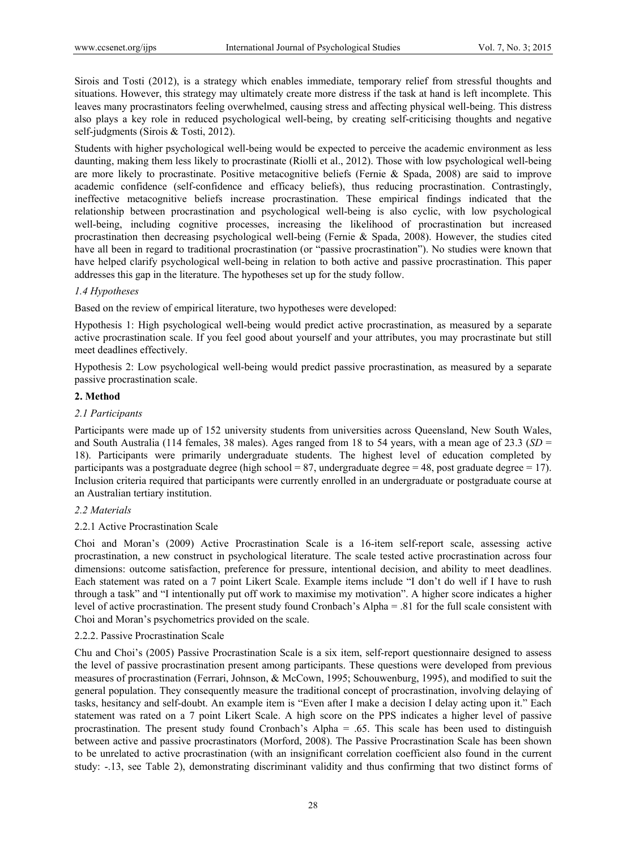Sirois and Tosti (2012), is a strategy which enables immediate, temporary relief from stressful thoughts and situations. However, this strategy may ultimately create more distress if the task at hand is left incomplete. This leaves many procrastinators feeling overwhelmed, causing stress and affecting physical well-being. This distress also plays a key role in reduced psychological well-being, by creating self-criticising thoughts and negative self-judgments (Sirois & Tosti, 2012).

Students with higher psychological well-being would be expected to perceive the academic environment as less daunting, making them less likely to procrastinate (Riolli et al., 2012). Those with low psychological well-being are more likely to procrastinate. Positive metacognitive beliefs (Fernie & Spada, 2008) are said to improve academic confidence (self-confidence and efficacy beliefs), thus reducing procrastination. Contrastingly, ineffective metacognitive beliefs increase procrastination. These empirical findings indicated that the relationship between procrastination and psychological well-being is also cyclic, with low psychological well-being, including cognitive processes, increasing the likelihood of procrastination but increased procrastination then decreasing psychological well-being (Fernie & Spada, 2008). However, the studies cited have all been in regard to traditional procrastination (or "passive procrastination"). No studies were known that have helped clarify psychological well-being in relation to both active and passive procrastination. This paper addresses this gap in the literature. The hypotheses set up for the study follow.

#### *1.4 Hypotheses*

Based on the review of empirical literature, two hypotheses were developed:

Hypothesis 1: High psychological well-being would predict active procrastination, as measured by a separate active procrastination scale. If you feel good about yourself and your attributes, you may procrastinate but still meet deadlines effectively.

Hypothesis 2: Low psychological well-being would predict passive procrastination, as measured by a separate passive procrastination scale.

#### **2. Method**

#### *2.1 Participants*

Participants were made up of 152 university students from universities across Queensland, New South Wales, and South Australia (114 females, 38 males). Ages ranged from 18 to 54 years, with a mean age of 23.3 (*SD* = 18). Participants were primarily undergraduate students. The highest level of education completed by participants was a postgraduate degree (high school = 87, undergraduate degree = 48, post graduate degree = 17). Inclusion criteria required that participants were currently enrolled in an undergraduate or postgraduate course at an Australian tertiary institution.

#### *2.2 Materials*

#### 2.2.1 Active Procrastination Scale

Choi and Moran's (2009) Active Procrastination Scale is a 16-item self-report scale, assessing active procrastination, a new construct in psychological literature. The scale tested active procrastination across four dimensions: outcome satisfaction, preference for pressure, intentional decision, and ability to meet deadlines. Each statement was rated on a 7 point Likert Scale. Example items include "I don't do well if I have to rush through a task" and "I intentionally put off work to maximise my motivation". A higher score indicates a higher level of active procrastination. The present study found Cronbach's Alpha = .81 for the full scale consistent with Choi and Moran's psychometrics provided on the scale.

#### 2.2.2. Passive Procrastination Scale

Chu and Choi's (2005) Passive Procrastination Scale is a six item, self-report questionnaire designed to assess the level of passive procrastination present among participants. These questions were developed from previous measures of procrastination (Ferrari, Johnson, & McCown, 1995; Schouwenburg, 1995), and modified to suit the general population. They consequently measure the traditional concept of procrastination, involving delaying of tasks, hesitancy and self-doubt. An example item is "Even after I make a decision I delay acting upon it." Each statement was rated on a 7 point Likert Scale. A high score on the PPS indicates a higher level of passive procrastination. The present study found Cronbach's Alpha = .65. This scale has been used to distinguish between active and passive procrastinators (Morford, 2008). The Passive Procrastination Scale has been shown to be unrelated to active procrastination (with an insignificant correlation coefficient also found in the current study: -.13, see Table 2), demonstrating discriminant validity and thus confirming that two distinct forms of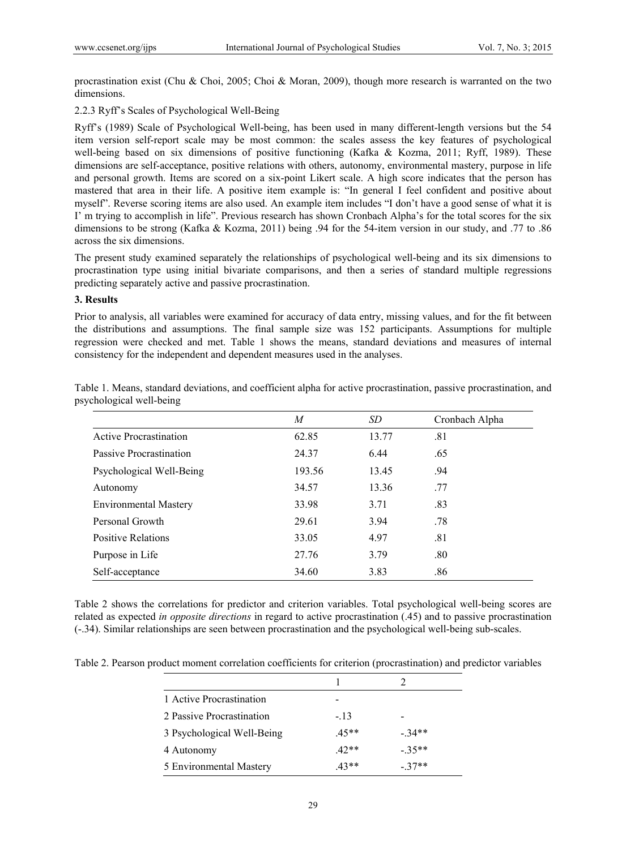procrastination exist (Chu & Choi, 2005; Choi & Moran, 2009), though more research is warranted on the two dimensions.

## 2.2.3 Ryff's Scales of Psychological Well-Being

Ryff's (1989) Scale of Psychological Well-being, has been used in many different-length versions but the 54 item version self-report scale may be most common: the scales assess the key features of psychological well-being based on six dimensions of positive functioning (Kafka & Kozma, 2011; Ryff, 1989). These dimensions are self-acceptance, positive relations with others, autonomy, environmental mastery, purpose in life and personal growth. Items are scored on a six-point Likert scale. A high score indicates that the person has mastered that area in their life. A positive item example is: "In general I feel confident and positive about myself". Reverse scoring items are also used. An example item includes "I don't have a good sense of what it is I' m trying to accomplish in life". Previous research has shown Cronbach Alpha's for the total scores for the six dimensions to be strong (Kafka & Kozma, 2011) being .94 for the 54-item version in our study, and .77 to .86 across the six dimensions.

The present study examined separately the relationships of psychological well-being and its six dimensions to procrastination type using initial bivariate comparisons, and then a series of standard multiple regressions predicting separately active and passive procrastination.

## **3. Results**

Prior to analysis, all variables were examined for accuracy of data entry, missing values, and for the fit between the distributions and assumptions. The final sample size was 152 participants. Assumptions for multiple regression were checked and met. Table 1 shows the means, standard deviations and measures of internal consistency for the independent and dependent measures used in the analyses.

|                              | M      | SD    | Cronbach Alpha |
|------------------------------|--------|-------|----------------|
| Active Procrastination       | 62.85  | 13.77 | .81            |
| Passive Procrastination      | 24.37  | 6.44  | .65            |
| Psychological Well-Being     | 193.56 | 13.45 | .94            |
| Autonomy                     | 34.57  | 13.36 | .77            |
| <b>Environmental Mastery</b> | 33.98  | 3.71  | .83            |
| Personal Growth              | 29.61  | 3.94  | .78            |
| <b>Positive Relations</b>    | 33.05  | 4.97  | .81            |
| Purpose in Life              | 27.76  | 3.79  | .80            |
| Self-acceptance              | 34.60  | 3.83  | .86            |

Table 1. Means, standard deviations, and coefficient alpha for active procrastination, passive procrastination, and psychological well-being

Table 2 shows the correlations for predictor and criterion variables. Total psychological well-being scores are related as expected *in opposite directions* in regard to active procrastination (.45) and to passive procrastination (-.34). Similar relationships are seen between procrastination and the psychological well-being sub-scales.

Table 2. Pearson product moment correlation coefficients for criterion (procrastination) and predictor variables

| 1 Active Procrastination   |         |         |
|----------------------------|---------|---------|
| 2 Passive Procrastination  | $-13$   |         |
| 3 Psychological Well-Being | $45**$  | $-34**$ |
| 4 Autonomy                 | $.42**$ | $-35**$ |
| 5 Environmental Mastery    | $43**$  | $-37**$ |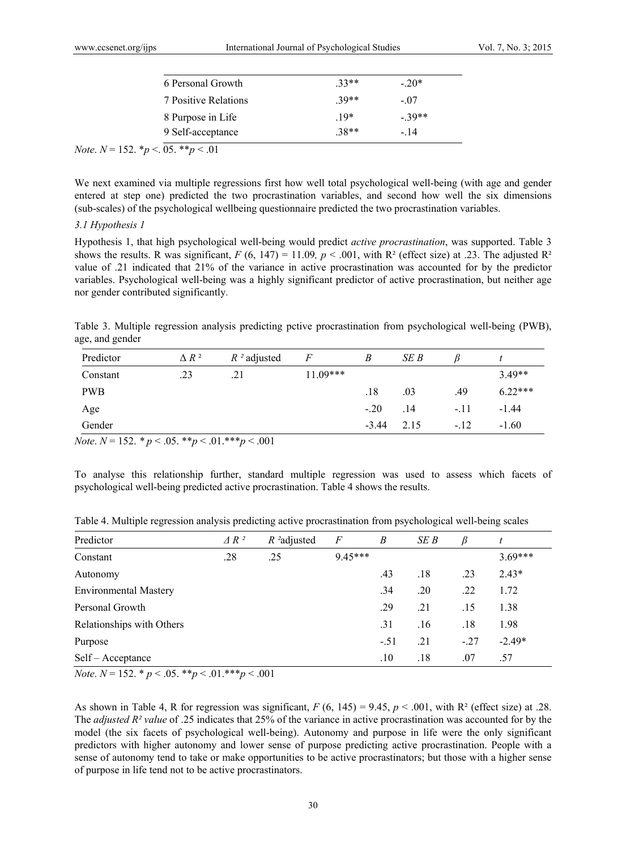| 6 Personal Growth    | $.33**$ | $-20*$  |
|----------------------|---------|---------|
| 7 Positive Relations | 39**    | $-07$   |
| 8 Purpose in Life    | $19*$   | $-39**$ |
| 9 Self-acceptance    | 38**    | - 14    |

*Note*.  $N = 152$ .  $\frac{b}{c}$   $\leq 0.05$ .  $\frac{b}{c}$   $\leq 0.01$ 

We next examined via multiple regressions first how well total psychological well-being (with age and gender entered at step one) predicted the two procrastination variables, and second how well the six dimensions (sub-scales) of the psychological wellbeing questionnaire predicted the two procrastination variables.

#### *3.1 Hypothesis 1*

Hypothesis 1, that high psychological well-being would predict *active procrastination*, was supported. Table 3 shows the results. R was significant,  $F(6, 147) = 11.09$ ,  $p < .001$ , with R<sup>2</sup> (effect size) at .23. The adjusted R<sup>2</sup> value of .21 indicated that 21% of the variance in active procrastination was accounted for by the predictor variables. Psychological well-being was a highly significant predictor of active procrastination, but neither age nor gender contributed significantly.

Table 3. Multiple regression analysis predicting pctive procrastination from psychological well-being (PWB), age, and gender

| Predictor                                                      | $\Delta R^2$ | $R^2$ adjusted | F          | B       | SE B |       |           |
|----------------------------------------------------------------|--------------|----------------|------------|---------|------|-------|-----------|
| Constant                                                       | .23          | .21            | $11.09***$ |         |      |       | $3.49**$  |
| <b>PWB</b>                                                     |              |                |            | .18     | .03  | .49   | $6.22***$ |
| Age                                                            |              |                |            | $-.20$  | .14  | $-11$ | $-1.44$   |
| Gender                                                         |              |                |            | $-3.44$ | 2.15 | $-12$ | $-1.60$   |
| $N_{\rm o}$ $N = 152$ * n $\lt$ 05 **n $\lt$ 01 ***n $\lt$ 001 |              |                |            |         |      |       |           |

*Note*. *N* = 152. *\* p* < .05. \*\**p* < .01.\*\*\**p* < .001

To analyse this relationship further, standard multiple regression was used to assess which facets of psychological well-being predicted active procrastination. Table 4 shows the results.

Table 4. Multiple regression analysis predicting active procrastination from psychological well-being scales

| Predictor                                                                                | $\triangle R^2$ | $R$ <sup>2</sup> adjusted | F         | B      | SE B | B      |           |
|------------------------------------------------------------------------------------------|-----------------|---------------------------|-----------|--------|------|--------|-----------|
| Constant                                                                                 | .28             | .25                       | $9.45***$ |        |      |        | $3.69***$ |
| Autonomy                                                                                 |                 |                           |           | .43    | .18  | .23    | $2.43*$   |
| <b>Environmental Mastery</b>                                                             |                 |                           |           | .34    | .20  | .22    | 1.72      |
| Personal Growth                                                                          |                 |                           |           | .29    | .21  | .15    | 1.38      |
| Relationships with Others                                                                |                 |                           |           | .31    | .16  | .18    | 1.98      |
| Purpose                                                                                  |                 |                           |           | $-.51$ | .21  | $-.27$ | $-2.49*$  |
| Self-Acceptance                                                                          |                 |                           |           | .10    | .18  | .07    | .57       |
| $M_{\odot}$ $M = 152$ $\pm$ $\sqrt{05}$ $\pm \pm$ $\sqrt{01}$ $\pm \pm \pm$ $\sqrt{001}$ |                 |                           |           |        |      |        |           |

*Note*. *N* = 152. \* *p* < .05. \*\**p* < .01.\*\*\**p* < .001

As shown in Table 4, R for regression was significant,  $F (6, 145) = 9.45$ ,  $p < .001$ , with R<sup>2</sup> (effect size) at .28. The *adjusted R² value* of .25 indicates that 25% of the variance in active procrastination was accounted for by the model (the six facets of psychological well-being). Autonomy and purpose in life were the only significant predictors with higher autonomy and lower sense of purpose predicting active procrastination. People with a sense of autonomy tend to take or make opportunities to be active procrastinators; but those with a higher sense of purpose in life tend not to be active procrastinators.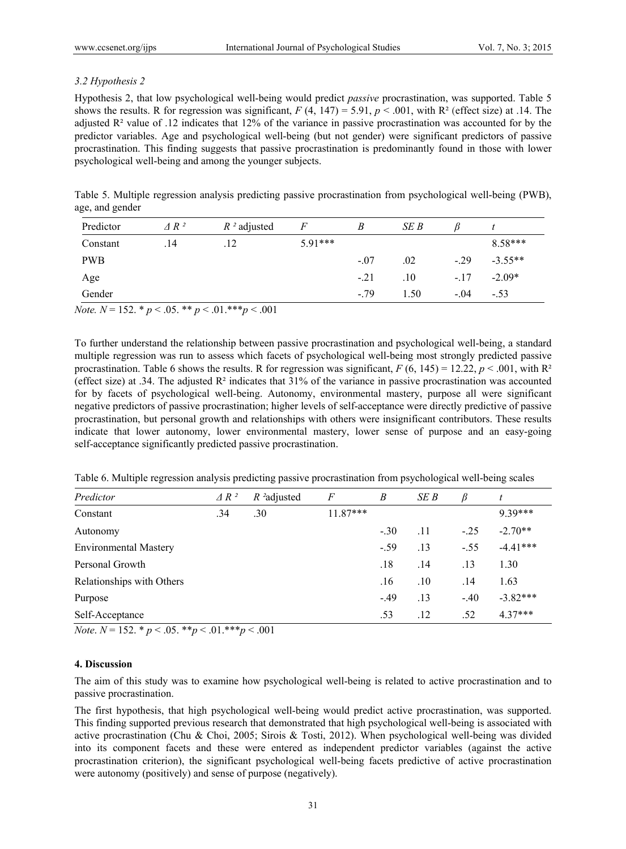#### *3.2 Hypothesis 2*

Hypothesis 2, that low psychological well-being would predict *passive* procrastination, was supported. Table 5 shows the results. R for regression was significant,  $F(4, 147) = 5.91$ ,  $p < .001$ , with R<sup>2</sup> (effect size) at .14. The adjusted  $R<sup>2</sup>$  value of .12 indicates that 12% of the variance in passive procrastination was accounted for by the predictor variables. Age and psychological well-being (but not gender) were significant predictors of passive procrastination. This finding suggests that passive procrastination is predominantly found in those with lower psychological well-being and among the younger subjects.

Table 5. Multiple regression analysis predicting passive procrastination from psychological well-being (PWB), age, and gender

| Predictor  | $\triangle R^2$ | $R^2$ adjusted | F         | B      | SE B |        |           |
|------------|-----------------|----------------|-----------|--------|------|--------|-----------|
| Constant   | .14             | .12            | $5.91***$ |        |      |        | $8.58***$ |
| <b>PWB</b> |                 |                |           | $-.07$ | .02  | $-.29$ | $-3.55**$ |
| Age        |                 |                |           | $-.21$ | .10  | $-17$  | $-2.09*$  |
| Gender     |                 |                |           | $-79$  | 1.50 | $-.04$ | $-.53$    |

*Note. N* = 152. \* *p* < .05. \*\* *p* < .01.\*\*\**p* < .001

To further understand the relationship between passive procrastination and psychological well-being, a standard multiple regression was run to assess which facets of psychological well-being most strongly predicted passive procrastination. Table 6 shows the results. R for regression was significant,  $F(6, 145) = 12.22$ ,  $p < .001$ , with R<sup>2</sup> (effect size) at .34. The adjusted  $\mathbb{R}^2$  indicates that 31% of the variance in passive procrastination was accounted for by facets of psychological well-being. Autonomy, environmental mastery, purpose all were significant negative predictors of passive procrastination; higher levels of self-acceptance were directly predictive of passive procrastination, but personal growth and relationships with others were insignificant contributors. These results indicate that lower autonomy, lower environmental mastery, lower sense of purpose and an easy-going self-acceptance significantly predicted passive procrastination.

Table 6. Multiple regression analysis predicting passive procrastination from psychological well-being scales

| Predictor                    | $\triangle R^2$ | $R2$ adjusted | $\,F$      | B      | SE B | β      |            |
|------------------------------|-----------------|---------------|------------|--------|------|--------|------------|
| Constant                     | .34             | .30           | $11.87***$ |        |      |        | $9.39***$  |
| Autonomy                     |                 |               |            | $-.30$ | .11  | $-.25$ | $-2.70**$  |
| <b>Environmental Mastery</b> |                 |               |            | $-.59$ | .13  | $-.55$ | $-4.41***$ |
| Personal Growth              |                 |               |            | .18    | .14  | .13    | 1.30       |
| Relationships with Others    |                 |               |            | .16    | .10  | .14    | 1.63       |
| Purpose                      |                 |               |            | $-49$  | .13  | $-.40$ | $-3.82***$ |
| Self-Acceptance              |                 |               |            | .53    | .12  | .52    | $4.37***$  |

*Note*. *N* = 152. \* *p* < .05. \*\**p* < .01.\*\*\**p* < .001

#### **4. Discussion**

The aim of this study was to examine how psychological well-being is related to active procrastination and to passive procrastination.

The first hypothesis, that high psychological well-being would predict active procrastination, was supported. This finding supported previous research that demonstrated that high psychological well-being is associated with active procrastination (Chu & Choi, 2005; Sirois & Tosti, 2012). When psychological well-being was divided into its component facets and these were entered as independent predictor variables (against the active procrastination criterion), the significant psychological well-being facets predictive of active procrastination were autonomy (positively) and sense of purpose (negatively).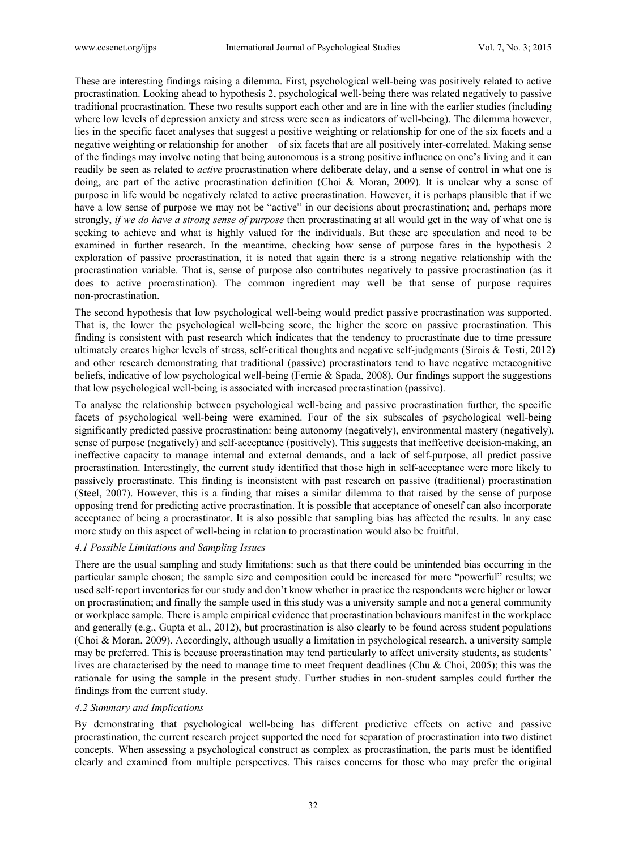These are interesting findings raising a dilemma. First, psychological well-being was positively related to active procrastination. Looking ahead to hypothesis 2, psychological well-being there was related negatively to passive traditional procrastination. These two results support each other and are in line with the earlier studies (including where low levels of depression anxiety and stress were seen as indicators of well-being). The dilemma however, lies in the specific facet analyses that suggest a positive weighting or relationship for one of the six facets and a negative weighting or relationship for another—of six facets that are all positively inter-correlated. Making sense of the findings may involve noting that being autonomous is a strong positive influence on one's living and it can readily be seen as related to *active* procrastination where deliberate delay, and a sense of control in what one is doing, are part of the active procrastination definition (Choi & Moran, 2009). It is unclear why a sense of purpose in life would be negatively related to active procrastination. However, it is perhaps plausible that if we have a low sense of purpose we may not be "active" in our decisions about procrastination; and, perhaps more strongly, *if we do have a strong sense of purpose* then procrastinating at all would get in the way of what one is seeking to achieve and what is highly valued for the individuals. But these are speculation and need to be examined in further research. In the meantime, checking how sense of purpose fares in the hypothesis 2 exploration of passive procrastination, it is noted that again there is a strong negative relationship with the procrastination variable. That is, sense of purpose also contributes negatively to passive procrastination (as it does to active procrastination). The common ingredient may well be that sense of purpose requires non-procrastination.

The second hypothesis that low psychological well-being would predict passive procrastination was supported. That is, the lower the psychological well-being score, the higher the score on passive procrastination. This finding is consistent with past research which indicates that the tendency to procrastinate due to time pressure ultimately creates higher levels of stress, self-critical thoughts and negative self-judgments (Sirois & Tosti, 2012) and other research demonstrating that traditional (passive) procrastinators tend to have negative metacognitive beliefs, indicative of low psychological well-being (Fernie & Spada, 2008). Our findings support the suggestions that low psychological well-being is associated with increased procrastination (passive).

To analyse the relationship between psychological well-being and passive procrastination further, the specific facets of psychological well-being were examined. Four of the six subscales of psychological well-being significantly predicted passive procrastination: being autonomy (negatively), environmental mastery (negatively), sense of purpose (negatively) and self-acceptance (positively). This suggests that ineffective decision-making, an ineffective capacity to manage internal and external demands, and a lack of self-purpose, all predict passive procrastination. Interestingly, the current study identified that those high in self-acceptance were more likely to passively procrastinate. This finding is inconsistent with past research on passive (traditional) procrastination (Steel, 2007). However, this is a finding that raises a similar dilemma to that raised by the sense of purpose opposing trend for predicting active procrastination. It is possible that acceptance of oneself can also incorporate acceptance of being a procrastinator. It is also possible that sampling bias has affected the results. In any case more study on this aspect of well-being in relation to procrastination would also be fruitful.

#### *4.1 Possible Limitations and Sampling Issues*

There are the usual sampling and study limitations: such as that there could be unintended bias occurring in the particular sample chosen; the sample size and composition could be increased for more "powerful" results; we used self-report inventories for our study and don't know whether in practice the respondents were higher or lower on procrastination; and finally the sample used in this study was a university sample and not a general community or workplace sample. There is ample empirical evidence that procrastination behaviours manifest in the workplace and generally (e.g., Gupta et al., 2012), but procrastination is also clearly to be found across student populations (Choi & Moran, 2009). Accordingly, although usually a limitation in psychological research, a university sample may be preferred. This is because procrastination may tend particularly to affect university students, as students' lives are characterised by the need to manage time to meet frequent deadlines (Chu & Choi, 2005); this was the rationale for using the sample in the present study. Further studies in non-student samples could further the findings from the current study.

#### *4.2 Summary and Implications*

By demonstrating that psychological well-being has different predictive effects on active and passive procrastination, the current research project supported the need for separation of procrastination into two distinct concepts. When assessing a psychological construct as complex as procrastination, the parts must be identified clearly and examined from multiple perspectives. This raises concerns for those who may prefer the original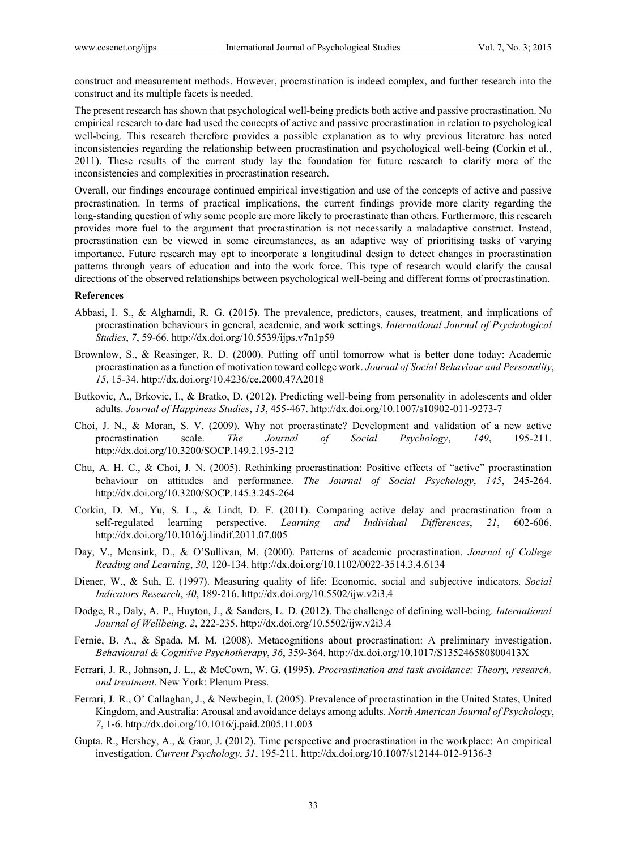construct and measurement methods. However, procrastination is indeed complex, and further research into the construct and its multiple facets is needed.

The present research has shown that psychological well-being predicts both active and passive procrastination. No empirical research to date had used the concepts of active and passive procrastination in relation to psychological well-being. This research therefore provides a possible explanation as to why previous literature has noted inconsistencies regarding the relationship between procrastination and psychological well-being (Corkin et al., 2011). These results of the current study lay the foundation for future research to clarify more of the inconsistencies and complexities in procrastination research.

Overall, our findings encourage continued empirical investigation and use of the concepts of active and passive procrastination. In terms of practical implications, the current findings provide more clarity regarding the long-standing question of why some people are more likely to procrastinate than others. Furthermore, this research provides more fuel to the argument that procrastination is not necessarily a maladaptive construct. Instead, procrastination can be viewed in some circumstances, as an adaptive way of prioritising tasks of varying importance. Future research may opt to incorporate a longitudinal design to detect changes in procrastination patterns through years of education and into the work force. This type of research would clarify the causal directions of the observed relationships between psychological well-being and different forms of procrastination.

#### **References**

- Abbasi, I. S., & Alghamdi, R. G. (2015). The prevalence, predictors, causes, treatment, and implications of procrastination behaviours in general, academic, and work settings. *International Journal of Psychological Studies*, *7*, 59-66. http://dx.doi.org/10.5539/ijps.v7n1p59
- Brownlow, S., & Reasinger, R. D. (2000). Putting off until tomorrow what is better done today: Academic procrastination as a function of motivation toward college work. *Journal of Social Behaviour and Personality*, *15*, 15-34. http://dx.doi.org/10.4236/ce.2000.47A2018
- Butkovic, A., Brkovic, I., & Bratko, D. (2012). Predicting well-being from personality in adolescents and older adults. *Journal of Happiness Studies*, *13*, 455-467. http://dx.doi.org/10.1007/s10902-011-9273-7
- Choi, J. N., & Moran, S. V. (2009). Why not procrastinate? Development and validation of a new active procrastination scale. *The Journal of Social Psychology*, *149*, 195-211. http://dx.doi.org/10.3200/SOCP.149.2.195-212
- Chu, A. H. C., & Choi, J. N. (2005). Rethinking procrastination: Positive effects of "active" procrastination behaviour on attitudes and performance. *The Journal of Social Psychology*, *145*, 245-264. http://dx.doi.org/10.3200/SOCP.145.3.245-264
- Corkin, D. M., Yu, S. L., & Lindt, D. F. (2011). Comparing active delay and procrastination from a self-regulated learning perspective. *Learning and Individual Differences*, *21*, 602-606. http://dx.doi.org/10.1016/j.lindif.2011.07.005
- Day, V., Mensink, D., & O'Sullivan, M. (2000). Patterns of academic procrastination. *Journal of College Reading and Learning*, *30*, 120-134. http://dx.doi.org/10.1102/0022-3514.3.4.6134
- Diener, W., & Suh, E. (1997). Measuring quality of life: Economic, social and subjective indicators. *Social Indicators Research*, *40*, 189-216. http://dx.doi.org/10.5502/ijw.v2i3.4
- Dodge, R., Daly, A. P., Huyton, J., & Sanders, L. D. (2012). The challenge of defining well-being. *International Journal of Wellbeing*, *2*, 222-235. http://dx.doi.org/10.5502/ijw.v2i3.4
- Fernie, B. A., & Spada, M. M. (2008). Metacognitions about procrastination: A preliminary investigation. *Behavioural & Cognitive Psychotherapy*, *36*, 359-364. http://dx.doi.org/10.1017/S135246580800413X
- Ferrari, J. R., Johnson, J. L., & McCown, W. G. (1995). *Procrastination and task avoidance: Theory, research, and treatment*. New York: Plenum Press.
- Ferrari, J. R., O' Callaghan, J., & Newbegin, I. (2005). Prevalence of procrastination in the United States, United Kingdom, and Australia: Arousal and avoidance delays among adults. *North American Journal of Psychology*, *7*, 1-6. http://dx.doi.org/10.1016/j.paid.2005.11.003
- Gupta. R., Hershey, A., & Gaur, J. (2012). Time perspective and procrastination in the workplace: An empirical investigation. *Current Psychology*, *31*, 195-211. http://dx.doi.org/10.1007/s12144-012-9136-3